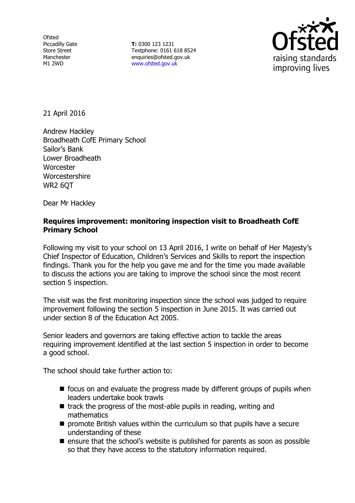**Ofsted** Piccadilly Gate Store Street Manchester M1 2WD

**T:** 0300 123 1231 Textphone: 0161 618 8524 enquiries@ofsted.gov.uk www.ofsted.gov.uk



21 April 2016

Andrew Hackley Broadheath CofE Primary School Sailor's Bank Lower Broadheath **Worcester** Worcestershire WR2 6QT

Dear Mr Hackley

## **Requires improvement: monitoring inspection visit to Broadheath CofE Primary School**

Following my visit to your school on 13 April 2016, I write on behalf of Her Majesty's Chief Inspector of Education, Children's Services and Skills to report the inspection findings. Thank you for the help you gave me and for the time you made available to discuss the actions you are taking to improve the school since the most recent section 5 inspection.

The visit was the first monitoring inspection since the school was judged to require improvement following the section 5 inspection in June 2015. It was carried out under section 8 of the Education Act 2005.

Senior leaders and governors are taking effective action to tackle the areas requiring improvement identified at the last section 5 inspection in order to become a good school.

The school should take further action to:

- $\blacksquare$  focus on and evaluate the progress made by different groups of pupils when leaders undertake book trawls
- $\blacksquare$  track the progress of the most-able pupils in reading, writing and mathematics
- **P** promote British values within the curriculum so that pupils have a secure understanding of these
- $\blacksquare$  ensure that the school's website is published for parents as soon as possible so that they have access to the statutory information required.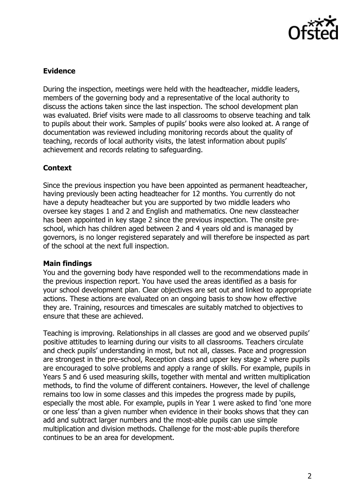

# **Evidence**

During the inspection, meetings were held with the headteacher, middle leaders, members of the governing body and a representative of the local authority to discuss the actions taken since the last inspection. The school development plan was evaluated. Brief visits were made to all classrooms to observe teaching and talk to pupils about their work. Samples of pupils' books were also looked at. A range of documentation was reviewed including monitoring records about the quality of teaching, records of local authority visits, the latest information about pupils' achievement and records relating to safeguarding.

## **Context**

Since the previous inspection you have been appointed as permanent headteacher, having previously been acting headteacher for 12 months. You currently do not have a deputy headteacher but you are supported by two middle leaders who oversee key stages 1 and 2 and English and mathematics. One new classteacher has been appointed in key stage 2 since the previous inspection. The onsite preschool, which has children aged between 2 and 4 years old and is managed by governors, is no longer registered separately and will therefore be inspected as part of the school at the next full inspection.

## **Main findings**

You and the governing body have responded well to the recommendations made in the previous inspection report. You have used the areas identified as a basis for your school development plan. Clear objectives are set out and linked to appropriate actions. These actions are evaluated on an ongoing basis to show how effective they are. Training, resources and timescales are suitably matched to objectives to ensure that these are achieved.

Teaching is improving. Relationships in all classes are good and we observed pupils' positive attitudes to learning during our visits to all classrooms. Teachers circulate and check pupils' understanding in most, but not all, classes. Pace and progression are strongest in the pre-school, Reception class and upper key stage 2 where pupils are encouraged to solve problems and apply a range of skills. For example, pupils in Years 5 and 6 used measuring skills, together with mental and written multiplication methods, to find the volume of different containers. However, the level of challenge remains too low in some classes and this impedes the progress made by pupils, especially the most able. For example, pupils in Year 1 were asked to find 'one more or one less' than a given number when evidence in their books shows that they can add and subtract larger numbers and the most-able pupils can use simple multiplication and division methods. Challenge for the most-able pupils therefore continues to be an area for development.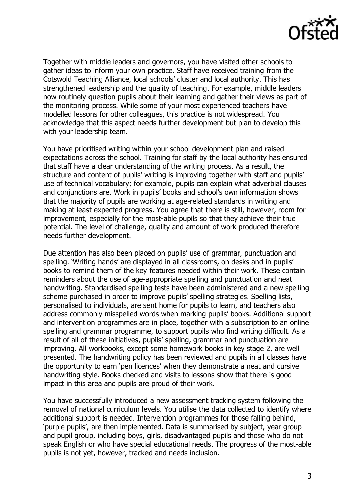

Together with middle leaders and governors, you have visited other schools to gather ideas to inform your own practice. Staff have received training from the Cotswold Teaching Alliance, local schools' cluster and local authority. This has strengthened leadership and the quality of teaching. For example, middle leaders now routinely question pupils about their learning and gather their views as part of the monitoring process. While some of your most experienced teachers have modelled lessons for other colleagues, this practice is not widespread. You acknowledge that this aspect needs further development but plan to develop this with your leadership team.

You have prioritised writing within your school development plan and raised expectations across the school. Training for staff by the local authority has ensured that staff have a clear understanding of the writing process. As a result, the structure and content of pupils' writing is improving together with staff and pupils' use of technical vocabulary; for example, pupils can explain what adverbial clauses and conjunctions are. Work in pupils' books and school's own information shows that the majority of pupils are working at age-related standards in writing and making at least expected progress. You agree that there is still, however, room for improvement, especially for the most-able pupils so that they achieve their true potential. The level of challenge, quality and amount of work produced therefore needs further development.

Due attention has also been placed on pupils' use of grammar, punctuation and spelling. 'Writing hands' are displayed in all classrooms, on desks and in pupils' books to remind them of the key features needed within their work. These contain reminders about the use of age-appropriate spelling and punctuation and neat handwriting. Standardised spelling tests have been administered and a new spelling scheme purchased in order to improve pupils' spelling strategies. Spelling lists, personalised to individuals, are sent home for pupils to learn, and teachers also address commonly misspelled words when marking pupils' books. Additional support and intervention programmes are in place, together with a subscription to an online spelling and grammar programme, to support pupils who find writing difficult. As a result of all of these initiatives, pupils' spelling, grammar and punctuation are improving. All workbooks, except some homework books in key stage 2, are well presented. The handwriting policy has been reviewed and pupils in all classes have the opportunity to earn 'pen licences' when they demonstrate a neat and cursive handwriting style. Books checked and visits to lessons show that there is good impact in this area and pupils are proud of their work.

You have successfully introduced a new assessment tracking system following the removal of national curriculum levels. You utilise the data collected to identify where additional support is needed. Intervention programmes for those falling behind, 'purple pupils', are then implemented. Data is summarised by subject, year group and pupil group, including boys, girls, disadvantaged pupils and those who do not speak English or who have special educational needs. The progress of the most-able pupils is not yet, however, tracked and needs inclusion.